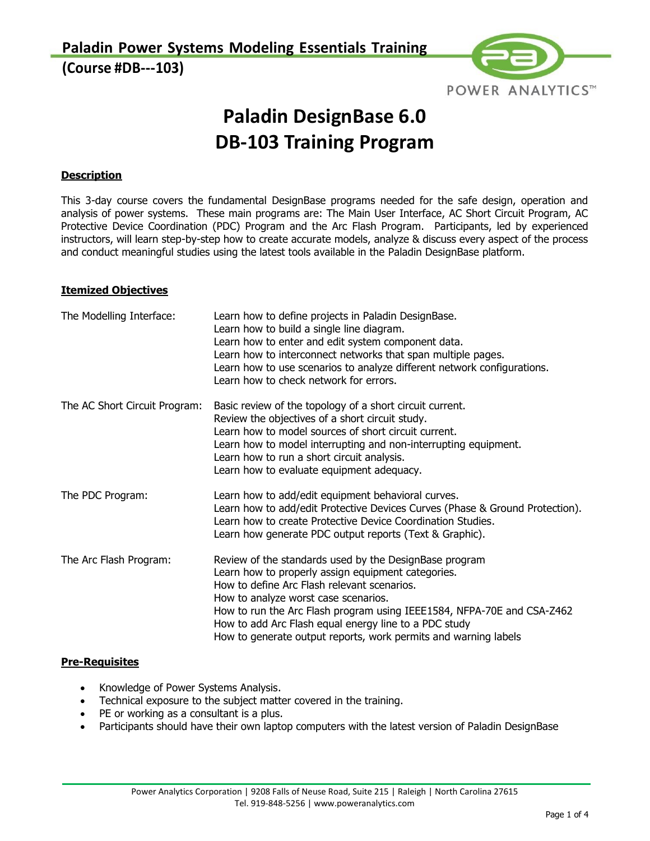**Paladin Power Systems Modeling Essentials Training (Course #DB-103)**



# **Paladin DesignBase 6.0 DB103 Training Program**

#### **Description**

This 3-day course covers the fundamental DesignBase programs needed for the safe design, operation and analysis of power systems. These main programs are: The Main User Interface, AC Short Circuit Program, AC Protective Device Coordination (PDC) Program and the Arc Flash Program. Participants, led by experienced instructors, will learn step-by-step how to create accurate models, analyze & discuss every aspect of the process and conduct meaningful studies using the latest tools available in the Paladin DesignBase platform.

#### **Itemized Objectives**

| The Modelling Interface:      | Learn how to define projects in Paladin DesignBase.<br>Learn how to build a single line diagram.<br>Learn how to enter and edit system component data.<br>Learn how to interconnect networks that span multiple pages.<br>Learn how to use scenarios to analyze different network configurations.<br>Learn how to check network for errors.                                                               |
|-------------------------------|-----------------------------------------------------------------------------------------------------------------------------------------------------------------------------------------------------------------------------------------------------------------------------------------------------------------------------------------------------------------------------------------------------------|
| The AC Short Circuit Program: | Basic review of the topology of a short circuit current.<br>Review the objectives of a short circuit study.<br>Learn how to model sources of short circuit current.<br>Learn how to model interrupting and non-interrupting equipment.<br>Learn how to run a short circuit analysis.<br>Learn how to evaluate equipment adequacy.                                                                         |
| The PDC Program:              | Learn how to add/edit equipment behavioral curves.<br>Learn how to add/edit Protective Devices Curves (Phase & Ground Protection).<br>Learn how to create Protective Device Coordination Studies.<br>Learn how generate PDC output reports (Text & Graphic).                                                                                                                                              |
| The Arc Flash Program:        | Review of the standards used by the DesignBase program<br>Learn how to properly assign equipment categories.<br>How to define Arc Flash relevant scenarios.<br>How to analyze worst case scenarios.<br>How to run the Arc Flash program using IEEE1584, NFPA-70E and CSA-Z462<br>How to add Arc Flash equal energy line to a PDC study<br>How to generate output reports, work permits and warning labels |

#### **Pre-Requisites**

- Knowledge of Power Systems Analysis.
- Technical exposure to the subject matter covered in the training.
- PE or working as a consultant is a plus.
- Participants should have their own laptop computers with the latest version of Paladin DesignBase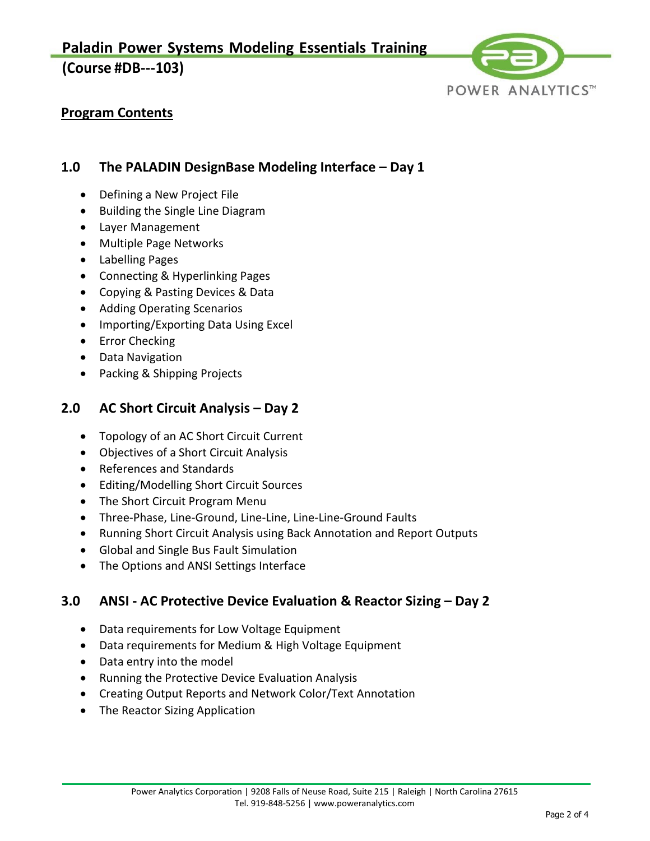**Paladin Power Systems Modeling Essentials Training**

# **(Course #DB-103)**



# **Program Contents**

## **1.0 The PALADIN DesignBase Modeling Interface – Day 1**

- Defining a New Project File
- Building the Single Line Diagram
- Layer Management
- Multiple Page Networks
- Labelling Pages
- Connecting & Hyperlinking Pages
- Copying & Pasting Devices & Data
- Adding Operating Scenarios
- Importing/Exporting Data Using Excel
- Error Checking
- Data Navigation
- Packing & Shipping Projects

## **2.0 AC Short Circuit Analysis – Day 2**

- Topology of an AC Short Circuit Current
- Objectives of a Short Circuit Analysis
- References and Standards
- Editing/Modelling Short Circuit Sources
- The Short Circuit Program Menu
- Three-Phase, Line-Ground, Line-Line, Line-Line-Ground Faults
- Running Short Circuit Analysis using Back Annotation and Report Outputs
- Global and Single Bus Fault Simulation
- The Options and ANSI Settings Interface

## **3.0 ANSI - AC Protective Device Evaluation & Reactor Sizing – Day 2**

- Data requirements for Low Voltage Equipment
- Data requirements for Medium & High Voltage Equipment
- Data entry into the model
- Running the Protective Device Evaluation Analysis
- Creating Output Reports and Network Color/Text Annotation
- The Reactor Sizing Application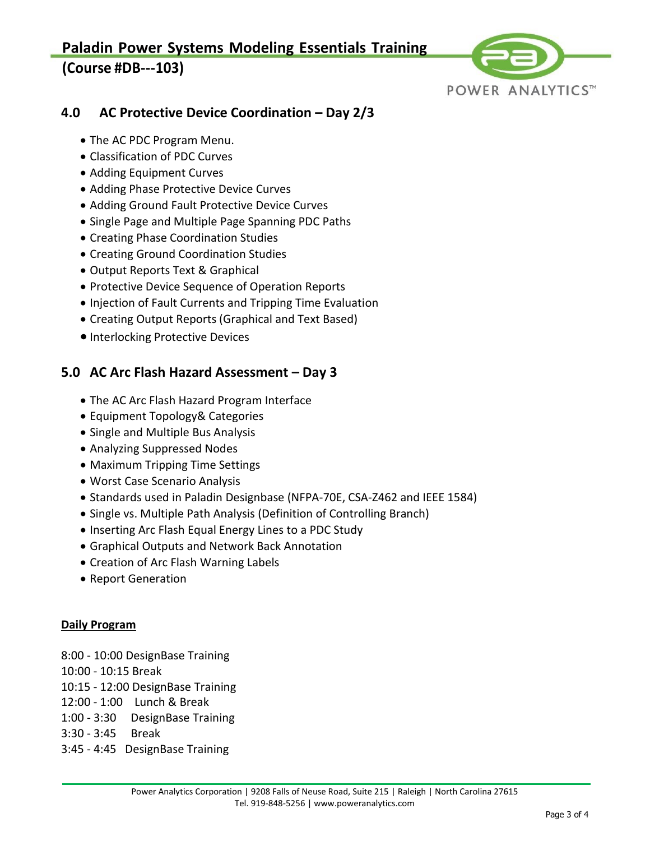# **Paladin Power Systems Modeling Essentials Training (Course #DB-103)**



# **4.0 AC Protective Device Coordination – Day 2/3**

- The AC PDC Program Menu.
- Classification of PDC Curves
- Adding Equipment Curves
- Adding Phase Protective Device Curves
- Adding Ground Fault Protective Device Curves
- Single Page and Multiple Page Spanning PDC Paths
- Creating Phase Coordination Studies
- Creating Ground Coordination Studies
- Output Reports Text & Graphical
- Protective Device Sequence of Operation Reports
- Injection of Fault Currents and Tripping Time Evaluation
- Creating Output Reports (Graphical and Text Based)
- Interlocking Protective Devices

# **5.0 AC Arc Flash Hazard Assessment – Day 3**

- The AC Arc Flash Hazard Program Interface
- Equipment Topology& Categories
- Single and Multiple Bus Analysis
- Analyzing Suppressed Nodes
- Maximum Tripping Time Settings
- Worst Case Scenario Analysis
- Standards used in Paladin Designbase (NFPA-70E, CSA-Z462 and IEEE 1584)
- Single vs. Multiple Path Analysis (Definition of Controlling Branch)
- Inserting Arc Flash Equal Energy Lines to a PDC Study
- Graphical Outputs and Network Back Annotation
- Creation of Arc Flash Warning Labels
- Report Generation

### **Daily Program**

- 8:00 10:00 DesignBase Training 10:00 - 10:15 Break 10:15 - 12:00 DesignBase Training 12:00 - 1:00 Lunch & Break 1:00 - 3:30 DesignBase Training
- 3:30 3:45 Break
- 3:45 4:45 DesignBase Training